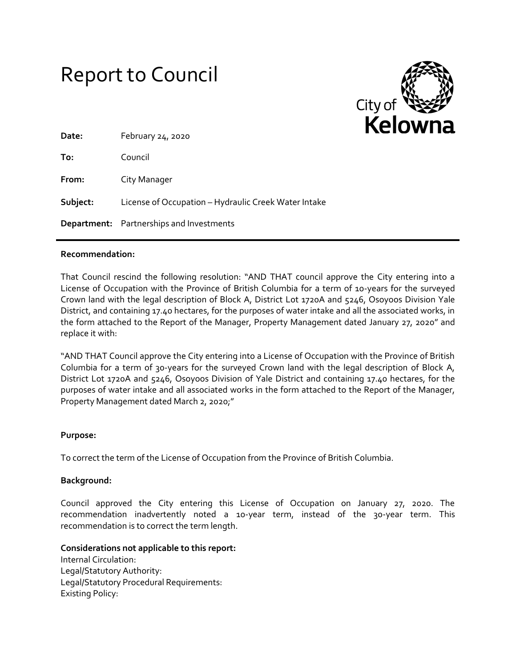



| Date:    | February 24, 2020                                    |
|----------|------------------------------------------------------|
| To:      | Council                                              |
| From:    | City Manager                                         |
| Subject: | License of Occupation - Hydraulic Creek Water Intake |
|          | <b>Department:</b> Partnerships and Investments      |

## **Recommendation:**

That Council rescind the following resolution: "AND THAT council approve the City entering into a License of Occupation with the Province of British Columbia for a term of 10-years for the surveyed Crown land with the legal description of Block A, District Lot 1720A and 5246, Osoyoos Division Yale District, and containing 17.40 hectares, for the purposes of water intake and all the associated works, in the form attached to the Report of the Manager, Property Management dated January 27, 2020" and replace it with:

"AND THAT Council approve the City entering into a License of Occupation with the Province of British Columbia for a term of 30-years for the surveyed Crown land with the legal description of Block A, District Lot 1720A and 5246, Osoyoos Division of Yale District and containing 17.40 hectares, for the purposes of water intake and all associated works in the form attached to the Report of the Manager, Property Management dated March 2, 2020;"

## **Purpose:**

To correct the term of the License of Occupation from the Province of British Columbia.

## **Background:**

Council approved the City entering this License of Occupation on January 27, 2020. The recommendation inadvertently noted a 10-year term, instead of the 30-year term. This recommendation is to correct the term length.

**Considerations not applicable to this report:** Internal Circulation: Legal/Statutory Authority: Legal/Statutory Procedural Requirements: Existing Policy: